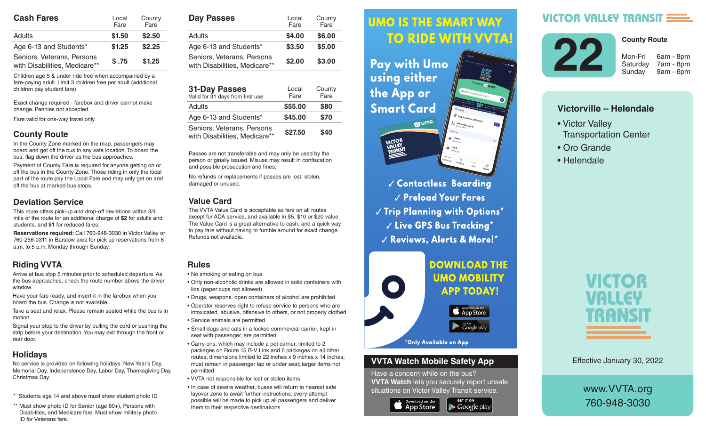| <b>Cash Fares</b>                                           | Local<br>Fare | County<br>Fare |  |
|-------------------------------------------------------------|---------------|----------------|--|
| Adults                                                      | \$1.50        | \$2.50         |  |
| Age 6-13 and Students*                                      | \$1.25        | \$2.25         |  |
| Seniors, Veterans, Persons<br>with Disabilities, Medicare** | \$.75         | \$1.25         |  |

Children age 5 & under ride free when accompanied by a fare-paying adult. Limit 3 children free per adult (additional children pay student fare).

Exact change required - farebox and driver cannot make change. Pennies not accepted.

Fare valid for one-way travel only.

### **County Route**

In the County Zone marked on the map, passengers may board and get off the bus in any safe location. To board the bus, flag down the driver as the bus approaches.

Payment of County Fare is required for anyone getting on or off the bus in the County Zone. Those riding in only the local part of the route pay the Local Fare and may only get on and off the bus at marked bus stops.

#### **Deviation Service**

This route offers pick-up and drop-off deviations within 3/4 mile of the route for an additional charge of **\$2** for adults and students, and **\$1** for reduced fares.

**Reservations required:** Call 760-948-3030 in Victor Valley or 760-256-0311 in Barstow area for pick up reservations from 8 a.m. to 5 p.m. Monday through Sunday.

## **Riding VVTA**

Arrive at bus stop 5 minutes prior to scheduled departure. As the bus approaches, check the route number above the driver window.

Have your fare ready, and insert it in the farebox when you board the bus. Change is not available.

Take a seat and relax. Please remain seated while the bus is in motion.

Signal your stop to the driver by pulling the cord or pushing the strip before your destination. You may exit through the front or rear door.

## **Holidays**

No service is provided on following holidays: New Year's Day, Memorial Day, Independence Day, Labor Day, Thanksgiving Day, Christmas Day.

- \* Students age 14 and above must show student photo ID.
- \*\* Must show photo ID for Senior (age 60+), Persons with Disabilites, and Medicare fare. Must show military photo ID for Veterans fare.

| <b>Day Passes</b>                                           | Local<br>Fare | County<br>Fare |  |
|-------------------------------------------------------------|---------------|----------------|--|
| Adults                                                      | \$4.00        | \$6.00         |  |
| Age 6-13 and Students*                                      | \$3.50        | \$5.00         |  |
| Seniors, Veterans, Persons<br>with Disabilities, Medicare** | \$2.00        | \$3.00         |  |

| <b>31-Day Passes</b><br>Valid for 31 days from first use    | Local<br>Fare | County<br>Fare |
|-------------------------------------------------------------|---------------|----------------|
| Adults                                                      | \$55.00       | \$80           |
| Age 6-13 and Students*                                      | \$45.00       | \$70           |
| Seniors, Veterans, Persons<br>with Disabilities, Medicare** | \$27.50       | \$40           |

Passes are not transferable and may only be used by the person originally issued. Misuse may result in confiscation and possible prosecution and fines.

No refunds or replacements if passes are lost, stolen, damaged or unused.

### **Value Card**

The VVTA Value Card is acceptable as fare on all routes except for ADA service, and available in \$5, \$10 or \$20 value. The Value Card is a great alternative to cash, and a quick way to pay fare without having to fumble around for exact change. Refunds not available.

### **Rules**

- No smoking or eating on bus
- Only non-alcoholic drinks are allowed in solid containers with lids (paper cups not allowed)
- Drugs, weapons, open containers of alcohol are prohibited
- Operator reserves right to refuse service to persons who are intoxicated, abusive, offensive to others, or not properly clothed
- Service animals are permitted
- Small dogs and cats in a locked commercial carrier, kept in seat with passenger, are permitted
- Carry-ons, which may include a pet carrier, limited to 2 packages on Route 15 B-V Link and 6 packages on all other routes; dimensions limited to 22 inches x 9 inches x 14 inches; must remain in passenger lap or under seat; larger items not permitted
- VVTA not responsible for lost or stolen items
- In case of severe weather, buses will return to nearest safe layover zone to await further instructions; every attempt possible will be made to pick up all passengers and deliver them to their respective destinations

#### *<u>UMO IS THE SMART WAY</u>* Arrive at bus stop 5 minutes prior to scheduled departure. As the bus approximation of the bus approximation of the bus approximation of the bus approximation route number above the driver window.

 $\mathbf{h}$  , and it is instructed in the farebox insert in the farebox  $\mathbf{h}$ **Fay with UMO AND SOLUTE:** using either the bus is in motion.  $\mathbf{S}$  since the driver by pulling the driver by pulling the cord or  $\mathbf{S}$ pushing the strip of strip before your design of the strip of the strip of the strip of the strip of the strip of the strip of the strip of the strip of the strip of the strip of the strip of the strip of the strip of the



**Contactless Boarding**  $\sqrt{\frac{P_{\text{rel}}}{P_{\text{rad}}}}$  Preload Your Fares  $\parallel$   $\parallel$   $\parallel$  rip rignning with Uptions  $\parallel$  $\sim$   $\sim$   $\sim$   $\sim$  CPS Rus Tracking  $^{\star}$ are intoxicated, abusive, offensive to others, or not properly √ Reviews, Alerts & More!\*



### **VVTA Watch Mobile Safety App**

Have a concern while on the bus? **VVTA Watch** lets you securely report unsafe situations on Victor Valley Transit service.

**GET IT ON** 

 $\blacktriangleright$  Google play



**VICTOR VALLEY TRANSIT E** 



7am - 8pm

**County Route**

9am - 6pm

# **Victorville – Helendale**

- Victor Valley Transportation Center
- Oro Grande
- Helendale



Effective January 30, 2022

www.VVTA.org 760-948-3030